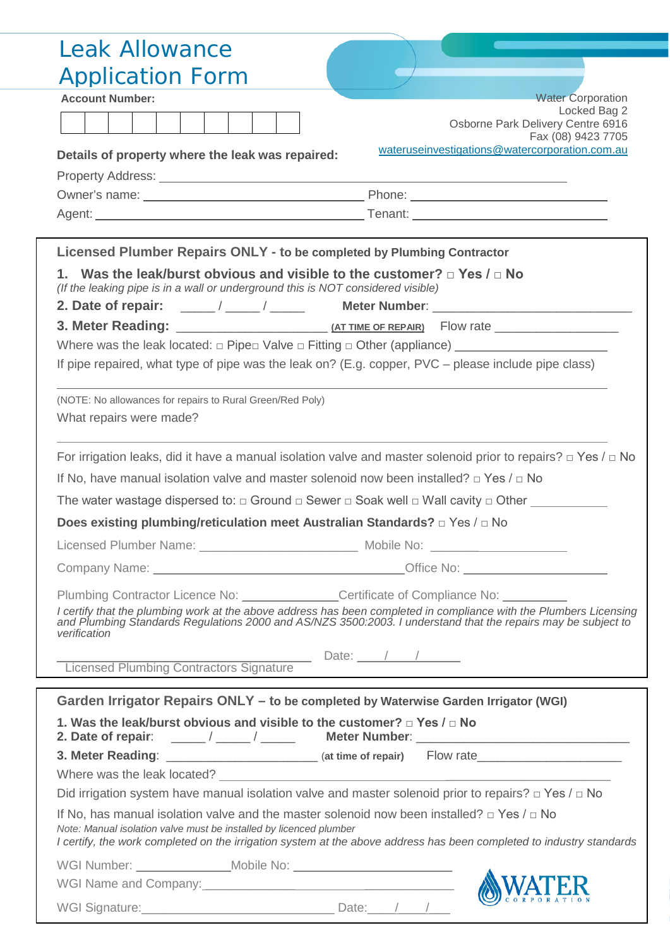| <b>Leak Allowance</b>                                                                                                                                                                                                                                                                              |
|----------------------------------------------------------------------------------------------------------------------------------------------------------------------------------------------------------------------------------------------------------------------------------------------------|
| <b>Application Form</b>                                                                                                                                                                                                                                                                            |
| <b>Account Number:</b><br><b>Water Corporation</b>                                                                                                                                                                                                                                                 |
| Locked Bag 2                                                                                                                                                                                                                                                                                       |
| Osborne Park Delivery Centre 6916<br>Fax (08) 9423 7705                                                                                                                                                                                                                                            |
| wateruseinvestigations@watercorporation.com.au<br>Details of property where the leak was repaired:                                                                                                                                                                                                 |
|                                                                                                                                                                                                                                                                                                    |
|                                                                                                                                                                                                                                                                                                    |
|                                                                                                                                                                                                                                                                                                    |
|                                                                                                                                                                                                                                                                                                    |
| Licensed Plumber Repairs ONLY - to be completed by Plumbing Contractor                                                                                                                                                                                                                             |
| 1. Was the leak/burst obvious and visible to the customer? $\Box$ Yes / $\Box$ No<br>(If the leaking pipe is in a wall or underground this is NOT considered visible)                                                                                                                              |
|                                                                                                                                                                                                                                                                                                    |
|                                                                                                                                                                                                                                                                                                    |
|                                                                                                                                                                                                                                                                                                    |
| If pipe repaired, what type of pipe was the leak on? (E.g. copper, $PVC$ – please include pipe class)                                                                                                                                                                                              |
| (NOTE: No allowances for repairs to Rural Green/Red Poly)                                                                                                                                                                                                                                          |
| What repairs were made?                                                                                                                                                                                                                                                                            |
|                                                                                                                                                                                                                                                                                                    |
| For irrigation leaks, did it have a manual isolation valve and master solenoid prior to repairs? $\Box$ Yes / $\Box$ No                                                                                                                                                                            |
| If No, have manual isolation valve and master solenoid now been installed? $\Box$ Yes / $\Box$ No                                                                                                                                                                                                  |
| The water wastage dispersed to: $\Box$ Ground $\Box$ Sewer $\Box$ Soak well $\Box$ Wall cavity $\Box$ Other                                                                                                                                                                                        |
| Does existing plumbing/reticulation meet Australian Standards? □ Yes / □ No                                                                                                                                                                                                                        |
|                                                                                                                                                                                                                                                                                                    |
|                                                                                                                                                                                                                                                                                                    |
| Plumbing Contractor Licence No: ______________Certificate of Compliance No: ________                                                                                                                                                                                                               |
| I certify that the plumbing work at the above address has been completed in compliance with the Plumbers Licensing<br>and Plumbing Standards Regulations 2000 and AS/NZS 3500:2003. I understand that the repairs may be subject to<br>verification                                                |
|                                                                                                                                                                                                                                                                                                    |
| Licensed Plumbing Contractors Signature Date: 11                                                                                                                                                                                                                                                   |
|                                                                                                                                                                                                                                                                                                    |
| Garden Irrigator Repairs ONLY - to be completed by Waterwise Garden Irrigator (WGI)                                                                                                                                                                                                                |
| 1. Was the leak/burst obvious and visible to the customer? $\Box$ Yes / $\Box$ No                                                                                                                                                                                                                  |
| 3. Meter Reading: ____________________________ (at time of repair) Flow rate_______________________                                                                                                                                                                                                |
|                                                                                                                                                                                                                                                                                                    |
| Did irrigation system have manual isolation valve and master solenoid prior to repairs? $\Box$ Yes / $\Box$ No                                                                                                                                                                                     |
| If No, has manual isolation valve and the master solenoid now been installed? $\Box$ Yes / $\Box$ No<br>Note: Manual isolation valve must be installed by licenced plumber<br>I certify, the work completed on the irrigation system at the above address has been completed to industry standards |
|                                                                                                                                                                                                                                                                                                    |
|                                                                                                                                                                                                                                                                                                    |
| WGI Name and Company:<br>WGI Signature: Date: / / /                                                                                                                                                                                                                                                |
|                                                                                                                                                                                                                                                                                                    |